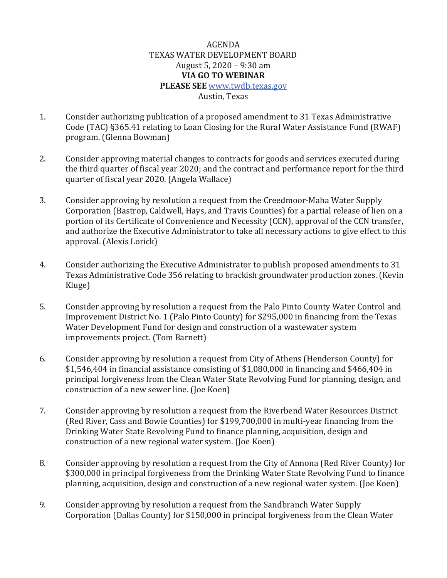## AGENDA TEXAS WATER DEVELOPMENT BOARD August 5, 2020 – 9:30 am **VIA GO TO WEBINAR PLEASE SEE** [www.twdb.texas.gov](http://www.twdb.texas.gov/) Austin, Texas

- 1. Consider authorizing publication of a proposed amendment to 31 Texas Administrative Code (TAC) §365.41 relating to Loan Closing for the Rural Water Assistance Fund (RWAF) program. (Glenna Bowman)
- 2. Consider approving material changes to contracts for goods and services executed during the third quarter of fiscal year 2020; and the contract and performance report for the third quarter of fiscal year 2020. (Angela Wallace)
- 3. Consider approving by resolution a request from the Creedmoor-Maha Water Supply Corporation (Bastrop, Caldwell, Hays, and Travis Counties) for a partial release of lien on a portion of its Certificate of Convenience and Necessity (CCN), approval of the CCN transfer, and authorize the Executive Administrator to take all necessary actions to give effect to this approval. (Alexis Lorick)
- 4. Consider authorizing the Executive Administrator to publish proposed amendments to 31 Texas Administrative Code 356 relating to brackish groundwater production zones. (Kevin Kluge)
- 5. Consider approving by resolution a request from the Palo Pinto County Water Control and Improvement District No. 1 (Palo Pinto County) for \$295,000 in financing from the Texas Water Development Fund for design and construction of a wastewater system improvements project. (Tom Barnett)
- 6. Consider approving by resolution a request from City of Athens (Henderson County) for \$1,546,404 in financial assistance consisting of \$1,080,000 in financing and \$466,404 in principal forgiveness from the Clean Water State Revolving Fund for planning, design, and construction of a new sewer line. (Joe Koen)
- 7. Consider approving by resolution a request from the Riverbend Water Resources District (Red River, Cass and Bowie Counties) for \$199,700,000 in multi-year financing from the Drinking Water State Revolving Fund to finance planning, acquisition, design and construction of a new regional water system. (Joe Koen)
- 8. Consider approving by resolution a request from the City of Annona (Red River County) for \$300,000 in principal forgiveness from the Drinking Water State Revolving Fund to finance planning, acquisition, design and construction of a new regional water system. (Joe Koen)
- 9. Consider approving by resolution a request from the Sandbranch Water Supply Corporation (Dallas County) for \$150,000 in principal forgiveness from the Clean Water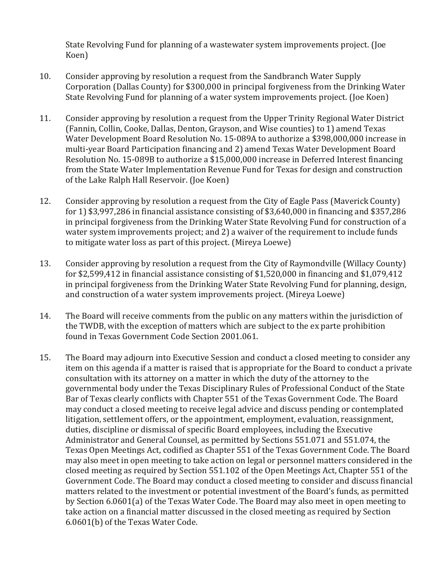State Revolving Fund for planning of a wastewater system improvements project. (Joe Koen)

- 10. Consider approving by resolution a request from the Sandbranch Water Supply Corporation (Dallas County) for \$300,000 in principal forgiveness from the Drinking Water State Revolving Fund for planning of a water system improvements project. (Joe Koen)
- 11. Consider approving by resolution a request from the Upper Trinity Regional Water District (Fannin, Collin, Cooke, Dallas, Denton, Grayson, and Wise counties) to 1) amend Texas Water Development Board Resolution No. 15-089A to authorize a \$398,000,000 increase in multi-year Board Participation financing and 2) amend Texas Water Development Board Resolution No. 15-089B to authorize a \$15,000,000 increase in Deferred Interest financing from the State Water Implementation Revenue Fund for Texas for design and construction of the Lake Ralph Hall Reservoir. (Joe Koen)
- 12. Consider approving by resolution a request from the City of Eagle Pass (Maverick County) for 1) \$3,997,286 in financial assistance consisting of \$3,640,000 in financing and \$357,286 in principal forgiveness from the Drinking Water State Revolving Fund for construction of a water system improvements project; and 2) a waiver of the requirement to include funds to mitigate water loss as part of this project. (Mireya Loewe)
- 13. Consider approving by resolution a request from the City of Raymondville (Willacy County) for \$2,599,412 in financial assistance consisting of \$1,520,000 in financing and \$1,079,412 in principal forgiveness from the Drinking Water State Revolving Fund for planning, design, and construction of a water system improvements project. (Mireya Loewe)
- 14. The Board will receive comments from the public on any matters within the jurisdiction of the TWDB, with the exception of matters which are subject to the ex parte prohibition found in Texas Government Code Section 2001.061.
- 15. The Board may adjourn into Executive Session and conduct a closed meeting to consider any item on this agenda if a matter is raised that is appropriate for the Board to conduct a private consultation with its attorney on a matter in which the duty of the attorney to the governmental body under the Texas Disciplinary Rules of Professional Conduct of the State Bar of Texas clearly conflicts with Chapter 551 of the Texas Government Code. The Board may conduct a closed meeting to receive legal advice and discuss pending or contemplated litigation, settlement offers, or the appointment, employment, evaluation, reassignment, duties, discipline or dismissal of specific Board employees, including the Executive Administrator and General Counsel, as permitted by Sections 551.071 and 551.074, the Texas Open Meetings Act, codified as Chapter 551 of the Texas Government Code. The Board may also meet in open meeting to take action on legal or personnel matters considered in the closed meeting as required by Section 551.102 of the Open Meetings Act, Chapter 551 of the Government Code. The Board may conduct a closed meeting to consider and discuss financial matters related to the investment or potential investment of the Board's funds, as permitted by Section 6.0601(a) of the Texas Water Code. The Board may also meet in open meeting to take action on a financial matter discussed in the closed meeting as required by Section 6.0601(b) of the Texas Water Code.